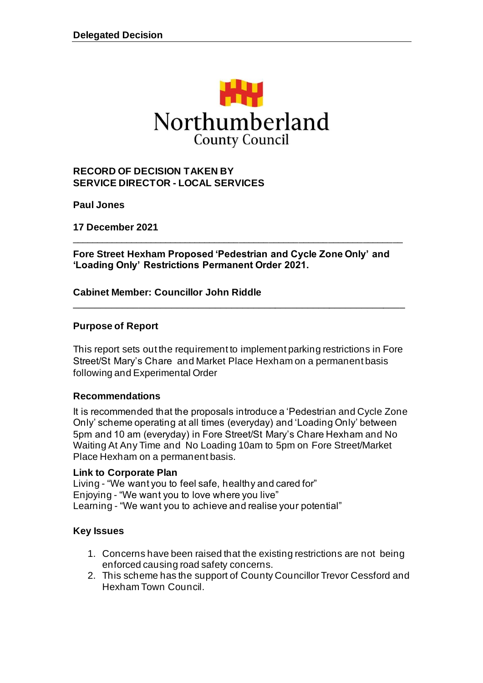

#### **RECORD OF DECISION TAKEN BY SERVICE DIRECTOR - LOCAL SERVICES**

**Paul Jones**

**17 December 2021**

**Fore Street Hexham Proposed 'Pedestrian and Cycle Zone Only' and 'Loading Only' Restrictions Permanent Order 2021.**

\_\_\_\_\_\_\_\_\_\_\_\_\_\_\_\_\_\_\_\_\_\_\_\_\_\_\_\_\_\_\_\_\_\_\_\_\_\_\_\_\_\_\_\_\_\_\_\_\_\_\_\_\_\_\_\_\_\_\_\_\_\_\_\_\_\_\_

#### **Cabinet Member: Councillor John Riddle**

#### **Purpose of Report**

This report sets out the requirement to implement parking restrictions in Fore Street/St Mary's Chare and Market Place Hexham on a permanent basis following and Experimental Order

\_\_\_\_\_\_\_\_\_\_\_\_\_\_\_\_\_\_\_\_\_\_\_\_\_\_\_\_\_\_\_\_\_\_\_\_\_\_\_\_\_\_\_\_\_\_\_\_\_\_\_\_\_\_\_\_\_\_\_\_\_

#### **Recommendations**

It is recommended that the proposals introduce a 'Pedestrian and Cycle Zone Only' scheme operating at all times (everyday) and 'Loading Only' between 5pm and 10 am (everyday) in Fore Street/St Mary's Chare Hexham and No Waiting At Any Time and No Loading 10am to 5pm on Fore Street/Market Place Hexham on a permanent basis.

#### **Link to Corporate Plan**

Living - "We want you to feel safe, healthy and cared for" Enjoying - "We want you to love where you live" Learning - "We want you to achieve and realise your potential"

#### **Key Issues**

- 1. Concerns have been raised that the existing restrictions are not being enforced causing road safety concerns.
- 2. This scheme has the support of County Councillor Trevor Cessford and Hexham Town Council.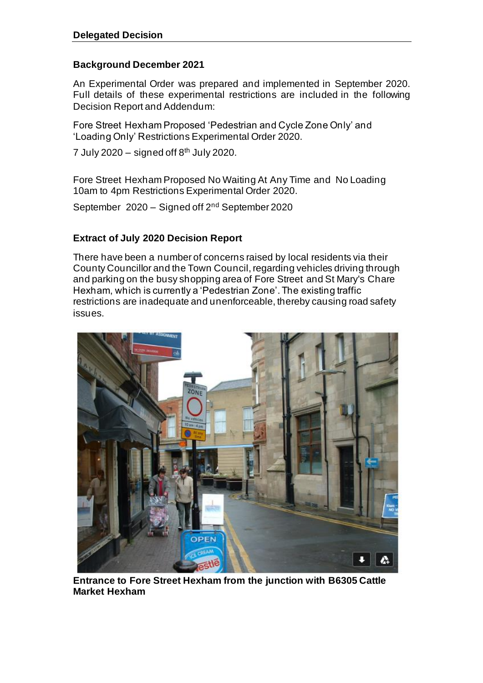## **Background December 2021**

An Experimental Order was prepared and implemented in September 2020. Full details of these experimental restrictions are included in the following Decision Report and Addendum:

Fore Street Hexham Proposed 'Pedestrian and Cycle Zone Only' and 'Loading Only' Restrictions Experimental Order 2020.

7 July 2020 – signed off  $8<sup>th</sup>$  July 2020.

Fore Street Hexham Proposed No Waiting At Any Time and No Loading 10am to 4pm Restrictions Experimental Order 2020.

September 2020 – Signed off 2nd September 2020

## **Extract of July 2020 Decision Report**

There have been a number of concerns raised by local residents via their County Councillor and the Town Council, regarding vehicles driving through and parking on the busy shopping area of Fore Street and St Mary's Chare Hexham, which is currently a 'Pedestrian Zone'. The existing traffic restrictions are inadequate and unenforceable, thereby causing road safety issues.



**Entrance to Fore Street Hexham from the junction with B6305 Cattle Market Hexham**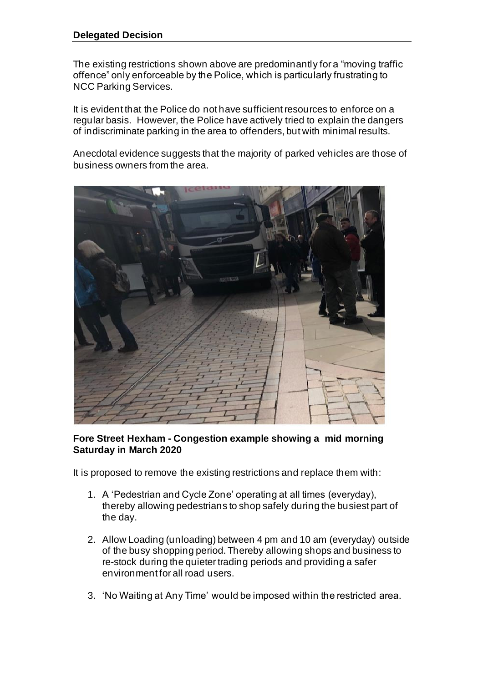The existing restrictions shown above are predominantly for a "moving traffic offence" only enforceable by the Police, which is particularly frustrating to NCC Parking Services.

It is evident that the Police do not have sufficient resources to enforce on a regular basis. However, the Police have actively tried to explain the dangers of indiscriminate parking in the area to offenders, but with minimal results.

Anecdotal evidence suggests that the majority of parked vehicles are those of business owners from the area.



#### **Fore Street Hexham - Congestion example showing a mid morning Saturday in March 2020**

It is proposed to remove the existing restrictions and replace them with:

- 1. A 'Pedestrian and Cycle Zone' operating at all times (everyday), thereby allowing pedestrians to shop safely during the busiest part of the day.
- 2. Allow Loading (unloading) between 4 pm and 10 am (everyday) outside of the busy shopping period. Thereby allowing shops and business to re-stock during the quieter trading periods and providing a safer environment for all road users.
- 3. 'No Waiting at Any Time' would be imposed within the restricted area.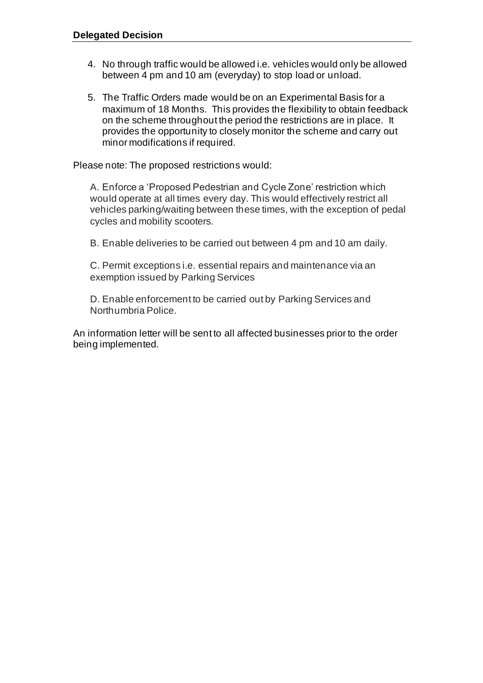- 4. No through traffic would be allowed i.e. vehicles would only be allowed between 4 pm and 10 am (everyday) to stop load or unload.
- 5. The Traffic Orders made would be on an Experimental Basis for a maximum of 18 Months. This provides the flexibility to obtain feedback on the scheme throughout the period the restrictions are in place. It provides the opportunity to closely monitor the scheme and carry out minor modifications if required.

Please note: The proposed restrictions would:

A. Enforce a 'Proposed Pedestrian and Cycle Zone' restriction which would operate at all times every day. This would effectively restrict all vehicles parking/waiting between these times, with the exception of pedal cycles and mobility scooters.

B. Enable deliveries to be carried out between 4 pm and 10 am daily.

C. Permit exceptions i.e. essential repairs and maintenance via an exemption issued by Parking Services

D. Enable enforcement to be carried out by Parking Services and Northumbria Police.

An information letter will be sent to all affected businesses prior to the order being implemented.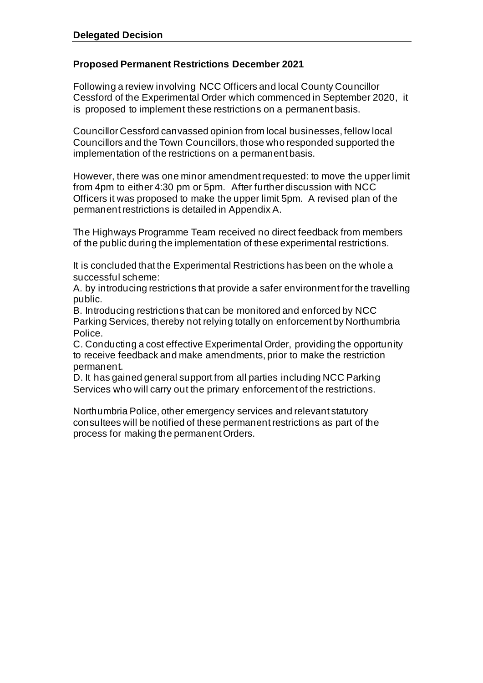## **Proposed Permanent Restrictions December 2021**

Following a review involving NCC Officers and local County Councillor Cessford of the Experimental Order which commenced in September 2020, it is proposed to implement these restrictions on a permanent basis.

Councillor Cessford canvassed opinion from local businesses, fellow local Councillors and the Town Councillors, those who responded supported the implementation of the restrictions on a permanent basis.

However, there was one minor amendment requested: to move the upper limit from 4pm to either 4:30 pm or 5pm. After further discussion with NCC Officers it was proposed to make the upper limit 5pm. A revised plan of the permanent restrictions is detailed in Appendix A.

The Highways Programme Team received no direct feedback from members of the public during the implementation of these experimental restrictions.

It is concluded that the Experimental Restrictions has been on the whole a successful scheme:

A. by introducing restrictions that provide a safer environment for the travelling public.

B. Introducing restrictions that can be monitored and enforced by NCC Parking Services, thereby not relying totally on enforcement by Northumbria Police.

C. Conducting a cost effective Experimental Order, providing the opportunity to receive feedback and make amendments, prior to make the restriction permanent.

D. It has gained general support from all parties including NCC Parking Services who will carry out the primary enforcement of the restrictions.

Northumbria Police, other emergency services and relevant statutory consultees will be notified of these permanent restrictions as part of the process for making the permanent Orders.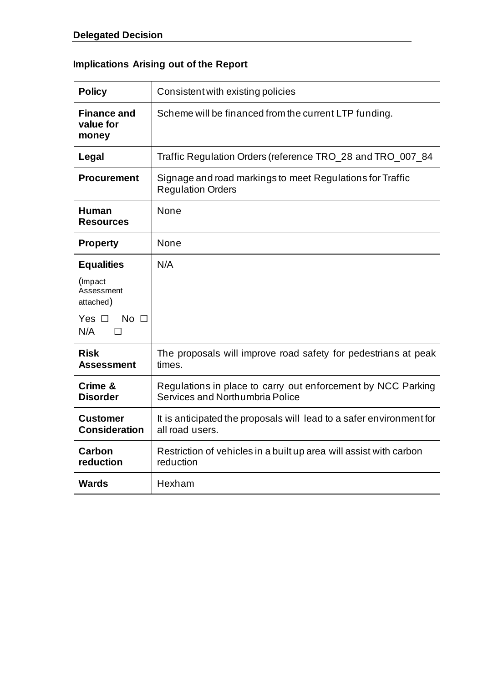# **Implications Arising out of the Report**

| <b>Policy</b>                            | Consistent with existing policies                                                               |
|------------------------------------------|-------------------------------------------------------------------------------------------------|
| <b>Finance and</b><br>value for<br>money | Scheme will be financed from the current LTP funding.                                           |
| Legal                                    | Traffic Regulation Orders (reference TRO_28 and TRO_007_84                                      |
| <b>Procurement</b>                       | Signage and road markings to meet Regulations for Traffic<br><b>Regulation Orders</b>           |
| <b>Human</b><br><b>Resources</b>         | None                                                                                            |
| Property                                 | None                                                                                            |
| <b>Equalities</b>                        | N/A                                                                                             |
| (Impact<br>Assessment<br>attached)       |                                                                                                 |
| No $\square$<br>Yes $\Box$<br>N/A        |                                                                                                 |
| <b>Risk</b><br><b>Assessment</b>         | The proposals will improve road safety for pedestrians at peak<br>times.                        |
| Crime &<br><b>Disorder</b>               | Regulations in place to carry out enforcement by NCC Parking<br>Services and Northumbria Police |
| <b>Customer</b><br><b>Consideration</b>  | It is anticipated the proposals will lead to a safer environment for<br>all road users.         |
| Carbon<br>reduction                      | Restriction of vehicles in a built up area will assist with carbon<br>reduction                 |
| <b>Wards</b>                             | Hexham                                                                                          |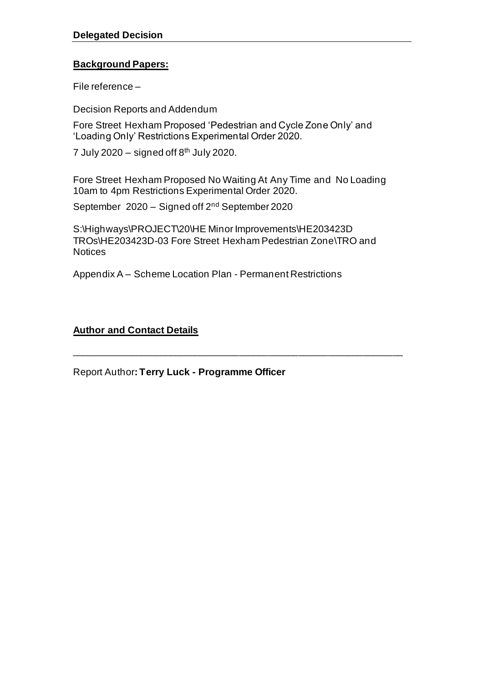## **Background Papers:**

File reference –

Decision Reports and Addendum

Fore Street Hexham Proposed 'Pedestrian and Cycle Zone Only' and 'Loading Only' Restrictions Experimental Order 2020.

7 July 2020 – signed off  $8<sup>th</sup>$  July 2020.

Fore Street Hexham Proposed No Waiting At Any Time and No Loading 10am to 4pm Restrictions Experimental Order 2020.

September 2020 – Signed off 2nd September 2020

S:\Highways\PROJECT\20\HE Minor Improvements\HE203423D TROs\HE203423D-03 Fore Street Hexham Pedestrian Zone\TRO and **Notices** 

\_\_\_\_\_\_\_\_\_\_\_\_\_\_\_\_\_\_\_\_\_\_\_\_\_\_\_\_\_\_\_\_\_\_\_\_\_\_\_\_\_\_\_\_\_\_\_\_\_\_\_\_\_\_\_\_\_\_\_\_\_\_\_\_\_\_\_

Appendix A – Scheme Location Plan - Permanent Restrictions

#### **Author and Contact Details**

Report Author**: Terry Luck - Programme Officer**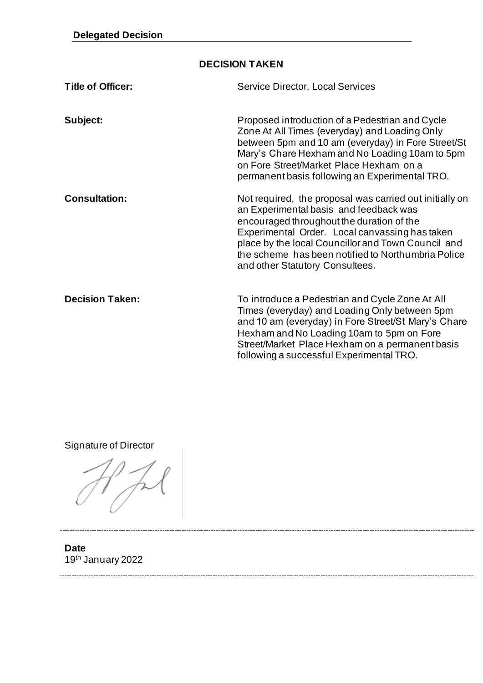## **DECISION TAKEN**

| <b>Title of Officer:</b> | <b>Service Director, Local Services</b>                                                                                                                                                                                                                                                                                                         |
|--------------------------|-------------------------------------------------------------------------------------------------------------------------------------------------------------------------------------------------------------------------------------------------------------------------------------------------------------------------------------------------|
| Subject:                 | Proposed introduction of a Pedestrian and Cycle<br>Zone At All Times (everyday) and Loading Only<br>between 5pm and 10 am (everyday) in Fore Street/St<br>Mary's Chare Hexham and No Loading 10am to 5pm<br>on Fore Street/Market Place Hexham on a<br>permanent basis following an Experimental TRO.                                           |
| <b>Consultation:</b>     | Not required, the proposal was carried out initially on<br>an Experimental basis and feedback was<br>encouraged throughout the duration of the<br>Experimental Order. Local canvassing has taken<br>place by the local Councillor and Town Council and<br>the scheme has been notified to Northumbria Police<br>and other Statutory Consultees. |
| <b>Decision Taken:</b>   | To introduce a Pedestrian and Cycle Zone At All<br>Times (everyday) and Loading Only between 5pm<br>and 10 am (everyday) in Fore Street/St Mary's Chare<br>Hexham and No Loading 10am to 5pm on Fore<br>Street/Market Place Hexham on a permanent basis<br>following a successful Experimental TRO.                                             |

Signature of Director

**Date** 19th January 2022

------------------